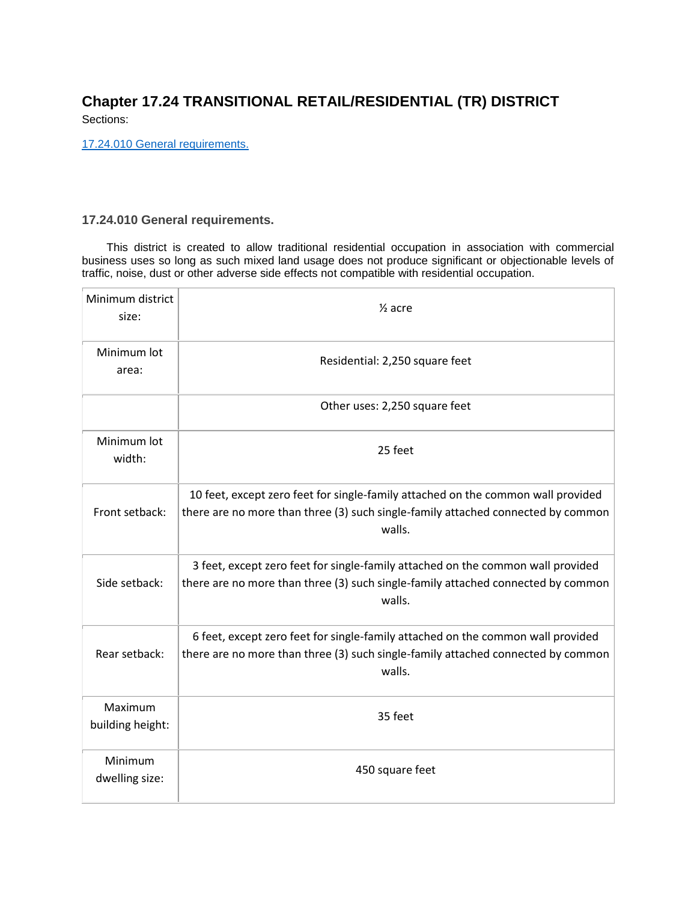## **Chapter 17.24 TRANSITIONAL RETAIL/RESIDENTIAL (TR) DISTRICT**

Sections:

[17.24.010 General requirements.](#page-0-0)

## <span id="page-0-0"></span>**17.24.010 General requirements.**

This district is created to allow traditional residential occupation in association with commercial business uses so long as such mixed land usage does not produce significant or objectionable levels of traffic, noise, dust or other adverse side effects not compatible with residential occupation.

| Minimum district<br>size:   | $\frac{1}{2}$ acre                                                                                                                                                             |
|-----------------------------|--------------------------------------------------------------------------------------------------------------------------------------------------------------------------------|
| Minimum lot<br>area:        | Residential: 2,250 square feet                                                                                                                                                 |
|                             | Other uses: 2,250 square feet                                                                                                                                                  |
| Minimum lot<br>width:       | 25 feet                                                                                                                                                                        |
| Front setback:              | 10 feet, except zero feet for single-family attached on the common wall provided<br>there are no more than three (3) such single-family attached connected by common<br>walls. |
| Side setback:               | 3 feet, except zero feet for single-family attached on the common wall provided<br>there are no more than three (3) such single-family attached connected by common<br>walls.  |
| Rear setback:               | 6 feet, except zero feet for single-family attached on the common wall provided<br>there are no more than three (3) such single-family attached connected by common<br>walls.  |
| Maximum<br>building height: | 35 feet                                                                                                                                                                        |
| Minimum<br>dwelling size:   | 450 square feet                                                                                                                                                                |